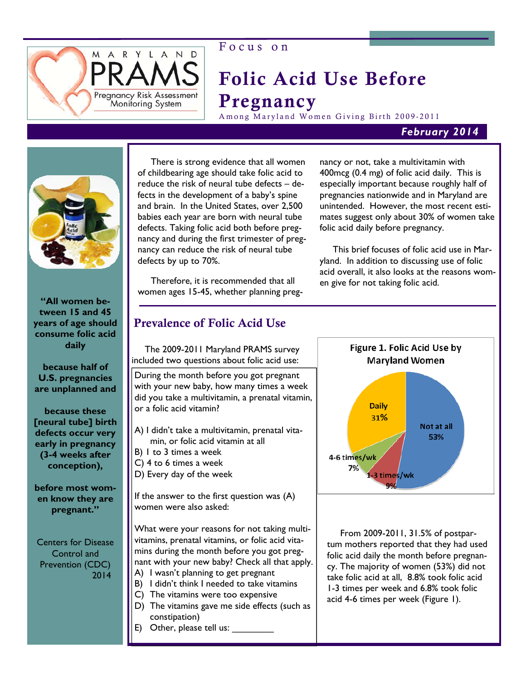

# Focus on

# Folic Acid Use Before Pregnancy

Among Maryland Women Giving Birth 2009-2011

# *February 2014*



**"All women between 15 and 45 years of age should consume folic acid daily** 

**because half of U.S. pregnancies are unplanned and** 

**because these [neural tube] birth defects occur very early in pregnancy (3-4 weeks after conception),** 

**before most women know they are pregnant."**

Centers for Disease Control and Prevention (CDC) 2014

 There is strong evidence that all women of childbearing age should take folic acid to reduce the risk of neural tube defects – defects in the development of a baby's spine and brain. In the United States, over 2,500 babies each year are born with neural tube defects. Taking folic acid both before pregnancy and during the first trimester of pregnancy can reduce the risk of neural tube defects by up to 70%.

 Therefore, it is recommended that all women ages 15-45, whether planning preg-

# Prevalence of Folic Acid Use

 The 2009-2011 Maryland PRAMS survey included two questions about folic acid use:

During the month before you got pregnant with your new baby, how many times a week did you take a multivitamin, a prenatal vitamin, or a folic acid vitamin?

- A) I didn't take a multivitamin, prenatal vita min, or folic acid vitamin at all
- B) 1 to 3 times a week
- C) 4 to 6 times a week
- D) Every day of the week

If the answer to the first question was (A) women were also asked:

What were your reasons for not taking multivitamins, prenatal vitamins, or folic acid vitamins during the month before you got pregnant with your new baby? Check all that apply. A) I wasn't planning to get pregnant

- B) I didn't think I needed to take vitamins
- C) The vitamins were too expensive
- D) The vitamins gave me side effects (such as constipation)
- E) Other, please tell us:

nancy or not, take a multivitamin with 400mcg (0.4 mg) of folic acid daily. This is especially important because roughly half of pregnancies nationwide and in Maryland are unintended. However, the most recent estimates suggest only about 30% of women take folic acid daily before pregnancy.

 This brief focuses of folic acid use in Maryland. In addition to discussing use of folic acid overall, it also looks at the reasons women give for not taking folic acid.



 From 2009-2011, 31.5% of postpartum mothers reported that they had used folic acid daily the month before pregnancy. The majority of women (53%) did not take folic acid at all, 8.8% took folic acid 1-3 times per week and 6.8% took folic acid 4-6 times per week (Figure 1).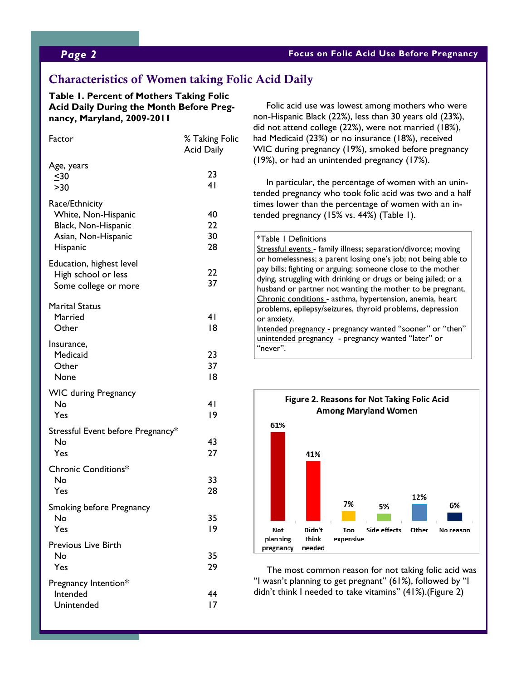### *Page 2* **Focus on Folic Acid Use Before Pregnancy**

# Characteristics of Women taking Folic Acid Daily

#### **Table 1. Percent of Mothers Taking Folic Acid Daily During the Month Before Pregnancy, Maryland, 2009-2011**

| Factor                                                                                          | % Taking Folic<br><b>Acid Daily</b> |
|-------------------------------------------------------------------------------------------------|-------------------------------------|
| Age, years<br>$\leq 30$<br>>30                                                                  | 23<br>41                            |
| Race/Ethnicity<br>White, Non-Hispanic<br>Black, Non-Hispanic<br>Asian, Non-Hispanic<br>Hispanic | 40<br>22<br>30<br>28                |
| Education, highest level<br>High school or less<br>Some college or more                         | 22<br>37                            |
| Marital Status<br>Married<br>Other                                                              | 41<br> 8                            |
| Insurance,<br>Medicaid<br>Other<br>None                                                         | 23<br>37<br> 8                      |
| <b>WIC during Pregnancy</b><br>No<br>Yes                                                        | 41<br>19                            |
| Stressful Event before Pregnancy*<br>No<br>Yes                                                  | 43<br>27                            |
| Chronic Conditions*<br>No<br>Yes                                                                | 33<br>28                            |
| Smoking before Pregnancy<br>No<br>Yes                                                           | 35<br>19                            |
| Previous Live Birth<br>No<br>Yes                                                                | 35<br>29                            |
| Pregnancy Intention*<br>Intended<br>Unintended                                                  | 44<br>17                            |

 Folic acid use was lowest among mothers who were non-Hispanic Black (22%), less than 30 years old (23%), did not attend college (22%), were not married (18%), had Medicaid (23%) or no insurance (18%), received WIC during pregnancy (19%), smoked before pregnancy (19%), or had an unintended pregnancy (17%).

 In particular, the percentage of women with an unintended pregnancy who took folic acid was two and a half times lower than the percentage of women with an intended pregnancy (15% vs. 44%) (Table 1).

#### \*Table 1 Definitions

Stressful events - family illness; separation/divorce; moving or homelessness; a parent losing one's job; not being able to pay bills; fighting or arguing; someone close to the mother dying, struggling with drinking or drugs or being jailed; or a husband or partner not wanting the mother to be pregnant. Chronic conditions - asthma, hypertension, anemia, heart problems, epilepsy/seizures, thyroid problems, depression or anxiety. Intended pregnancy - pregnancy wanted "sooner" or "then"

unintended pregnancy - pregnancy wanted "later" or "never".



 The most common reason for not taking folic acid was "I wasn't planning to get pregnant" (61%), followed by "I didn't think I needed to take vitamins" (41%).(Figure 2)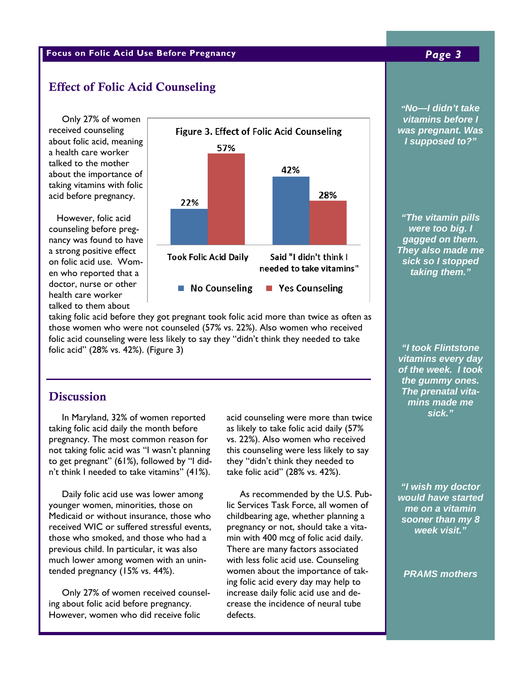### **Focus on Folic Acid Use Before Pregnancy** *Page 3*

### Effect of Folic Acid Counseling

 Only 27% of women received counseling about folic acid, meaning a health care worker talked to the mother about the importance of taking vitamins with folic acid before pregnancy.

 However, folic acid counseling before pregnancy was found to have a strong positive effect on folic acid use. Women who reported that a doctor, nurse or other health care worker talked to them about



 $\,$  taking folic acid before they got pregnant took folic acid more than twice as often as  $\,$   $\,$   $\,$   $\,$ those women who were not counseled (57% vs. 22%). Also women who received Dorchester 9.8 ( 7.5-12.2) 98.0 (96.0-100.0) *"I took Flintstone*  folic acid counseling were less likely to say they "didn't think they needed to take folic acid" (28% vs. 42%). (Figure 3)

## **Discussion**

 In Maryland, 32% of women reported taking folic acid daily the month before pregnancy. The most common reason for not taking folic acid was "I wasn't planning to get pregnant" (61%), followed by "I didn't think I needed to take vitamins" (41%).

 Daily folic acid use was lower among younger women, minorities, those on Medicaid or without insurance, those who received WIC or suffered stressful events, those who smoked, and those who had a previous child. In particular, it was also much lower among women with an unintended pregnancy (15% vs. 44%).

 Only 27% of women received counseling about folic acid before pregnancy. However, women who did receive folic

as likely to take folic acid daily  $(57\%)$ vs. 22%). Also women who received  $\blacksquare$  $\frac{1}{2}$  they "didn't think they needed to  $\frac{1}{2}$ take folic acid" (28% vs. 42%). The state  $\vert$  and  $\vert$  and  $\vert$  and  $\vert$  and  $\vert$  and  $\vert$  and  $\vert$  and  $\vert$  and  $\vert$  and  $\vert$  and  $\vert$  and  $\vert$  and  $\vert$  and  $\vert$  and  $\vert$  and  $\vert$  and  $\vert$  and  $\vert$  and  $\vert$  and  $\vert$  and acid counseling were more than twice this counseling were less likely to say

of Wish m.<br>No interest 19.5 As recommended by the U.S. Pub-St. Mary's 20.2 (10.4-29.9) 92.3 (86.6- 97.9) lic Services Task Force, all women of childbearing age, whether planning a sooner the social solution of  $\frac{1}{2}$  $\frac{1}{2}$  min with 400 mcg of folic acid daily. There are many factors associated  $\begin{array}{|c|c|}\n\hline\n\end{array}$ when received above details the importance of tak-<br>women about the importance of tak-<br> $PRAMS$ pregnancy or not, should take a vitawith less folic acid use. Counseling ing folic acid every day may help to increase daily folic acid use and decrease the incidence of neural tube defects.

**able 11 in the 1II. Percentage of Mo-I didn't take**  $\blacksquare$ **Pregnancy**  *I supposed to?" vitamins before I was pregnant. Was* 

> *"The vitamin pills were too big. I They also made me sick so I stopped taking them."*

*vitamins every day* **EXECUTE:** The gummy ones. **Example 10.9 The prenatal vita-** $\frac{1}{2}$ *of the week. I took mins made me sick."* 

> *"I wish my doctor would have started me on a vitamin sooner than my 8 week visit."*

*PRAMS mothers*